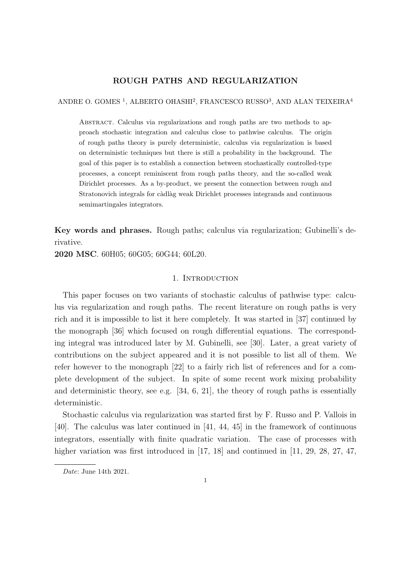# ROUGH PATHS AND REGULARIZATION

ANDRE O. GOMES<sup>1</sup>, ALBERTO OHASHI<sup>2</sup>, FRANCESCO RUSSO<sup>3</sup>, AND ALAN TEIXEIRA<sup>4</sup>

Abstract. Calculus via regularizations and rough paths are two methods to approach stochastic integration and calculus close to pathwise calculus. The origin of rough paths theory is purely deterministic, calculus via regularization is based on deterministic techniques but there is still a probability in the background. The goal of this paper is to establish a connection between stochastically controlled-type processes, a concept reminiscent from rough paths theory, and the so-called weak Dirichlet processes. As a by-product, we present the connection between rough and Stratonovich integrals for càdlàg weak Dirichlet processes integrands and continuous semimartingales integrators.

Key words and phrases. Rough paths; calculus via regularization; Gubinelli's derivative.

2020 MSC. 60H05; 60G05; 60G44; 60L20.

### 1. INTRODUCTION

This paper focuses on two variants of stochastic calculus of pathwise type: calculus via regularization and rough paths. The recent literature on rough paths is very rich and it is impossible to list it here completely. It was started in [37] continued by the monograph [36] which focused on rough differential equations. The corresponding integral was introduced later by M. Gubinelli, see [30]. Later, a great variety of contributions on the subject appeared and it is not possible to list all of them. We refer however to the monograph [22] to a fairly rich list of references and for a complete development of the subject. In spite of some recent work mixing probability and deterministic theory, see e.g.  $[34, 6, 21]$ , the theory of rough paths is essentially deterministic.

Stochastic calculus via regularization was started first by F. Russo and P. Vallois in [40]. The calculus was later continued in [41, 44, 45] in the framework of continuous integrators, essentially with finite quadratic variation. The case of processes with higher variation was first introduced in [17, 18] and continued in [11, 29, 28, 27, 47,

Date: June 14th 2021.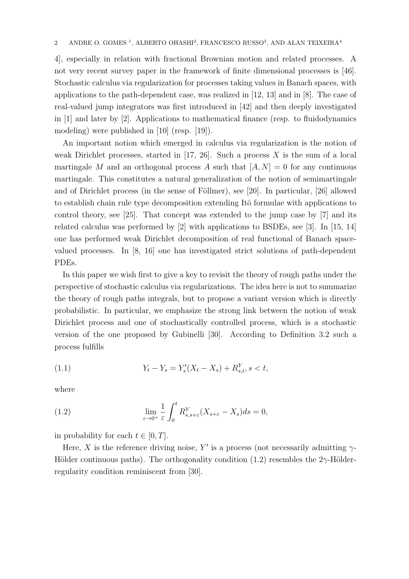4], especially in relation with fractional Brownian motion and related processes. A not very recent survey paper in the framework of finite dimensional processes is [46]. Stochastic calculus via regularization for processes taking values in Banach spaces, with applications to the path-dependent case, was realized in [12, 13] and in [8]. The case of real-valued jump integrators was first introduced in [42] and then deeply investigated in [1] and later by [2]. Applications to mathematical finance (resp. to fluidodynamics modeling) were published in [10] (resp. [19]).

An important notion which emerged in calculus via regularization is the notion of weak Dirichlet processes, started in  $[17, 26]$ . Such a process X is the sum of a local martingale M and an orthogonal process A such that  $[A, N] = 0$  for any continuous martingale. This constitutes a natural generalization of the notion of semimartingale and of Dirichlet process (in the sense of Föllmer), see [20]. In particular, [26] allowed to establish chain rule type decomposition extending Itô formulae with applications to control theory, see [25]. That concept was extended to the jump case by [7] and its related calculus was performed by [2] with applications to BSDEs, see [3]. In [15, 14] one has performed weak Dirichlet decomposition of real functional of Banach spacevalued processes. In [8, 16] one has investigated strict solutions of path-dependent PDEs.

In this paper we wish first to give a key to revisit the theory of rough paths under the perspective of stochastic calculus via regularizations. The idea here is not to summarize the theory of rough paths integrals, but to propose a variant version which is directly probabilistic. In particular, we emphasize the strong link between the notion of weak Dirichlet process and one of stochastically controlled process, which is a stochastic version of the one proposed by Gubinelli [30]. According to Definition 3.2 such a process fulfills

(1.1) 
$$
Y_t - Y_s = Y'_s(X_t - X_s) + R_{s,t}^Y, s < t,
$$

where

(1.2) 
$$
\lim_{\varepsilon \to 0^+} \frac{1}{\varepsilon} \int_0^t R^Y_{s,s+\varepsilon}(X_{s+\varepsilon} - X_s) ds = 0,
$$

in probability for each  $t \in [0, T]$ .

Here, X is the reference driving noise, Y' is a process (not necessarily admitting  $\gamma$ -Hölder continuous paths). The orthogonality condition (1.2) resembles the  $2\gamma$ -Hölderregularity condition reminiscent from [30].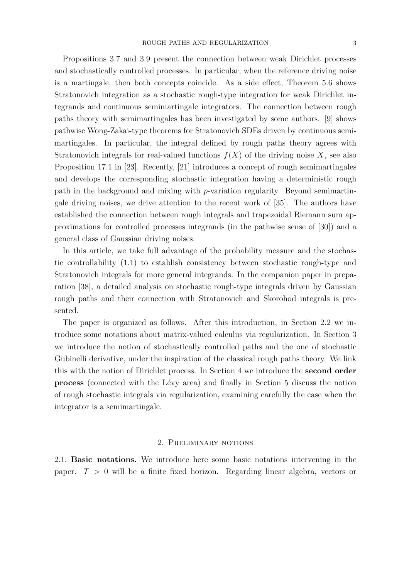Propositions 3.7 and 3.9 present the connection between weak Dirichlet processes and stochastically controlled processes. In particular, when the reference driving noise is a martingale, then both concepts coincide. As a side effect, Theorem 5.6 shows Stratonovich integration as a stochastic rough-type integration for weak Dirichlet integrands and continuous semimartingale integrators. The connection between rough paths theory with semimartingales has been investigated by some authors. [9] shows pathwise Wong-Zakai-type theorems for Stratonovich SDEs driven by continuous semimartingales. In particular, the integral defined by rough paths theory agrees with Stratonovich integrals for real-valued functions  $f(X)$  of the driving noise X, see also Proposition 17.1 in [23]. Recently, [21] introduces a concept of rough semimartingales and develops the corresponding stochastic integration having a deterministic rough path in the background and mixing with p-variation regularity. Beyond semimartingale driving noises, we drive attention to the recent work of [35]. The authors have established the connection between rough integrals and trapezoidal Riemann sum approximations for controlled processes integrands (in the pathwise sense of [30]) and a general class of Gaussian driving noises.

In this article, we take full advantage of the probability measure and the stochastic controllability (1.1) to establish consistency between stochastic rough-type and Stratonovich integrals for more general integrands. In the companion paper in preparation [38], a detailed analysis on stochastic rough-type integrals driven by Gaussian rough paths and their connection with Stratonovich and Skorohod integrals is presented.

The paper is organized as follows. After this introduction, in Section 2.2 we introduce some notations about matrix-valued calculus via regularization. In Section 3 we introduce the notion of stochastically controlled paths and the one of stochastic Gubinelli derivative, under the inspiration of the classical rough paths theory. We link this with the notion of Dirichlet process. In Section 4 we introduce the second order process (connected with the Lévy area) and finally in Section 5 discuss the notion of rough stochastic integrals via regularization, examining carefully the case when the integrator is a semimartingale.

# 2. Preliminary notions

2.1. Basic notations. We introduce here some basic notations intervening in the paper.  $T > 0$  will be a finite fixed horizon. Regarding linear algebra, vectors or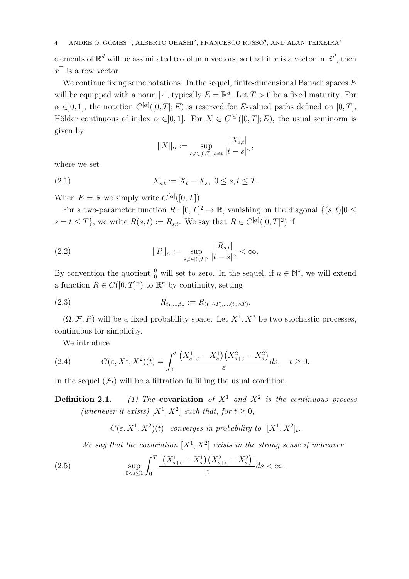elements of  $\mathbb{R}^d$  will be assimilated to column vectors, so that if x is a vector in  $\mathbb{R}^d$ , then  $x^{\top}$  is a row vector.

We continue fixing some notations. In the sequel, finite-dimensional Banach spaces  $E$ will be equipped with a norm  $|\cdot|$ , typically  $E = \mathbb{R}^d$ . Let  $T > 0$  be a fixed maturity. For  $\alpha \in ]0,1],$  the notation  $C^{[\alpha]}([0,T];E)$  is reserved for E-valued paths defined on  $[0,T],$ Hölder continuous of index  $\alpha \in ]0,1]$ . For  $X \in C^{[\alpha]}([0,T];E)$ , the usual seminorm is given by

$$
||X||_{\alpha} := \sup_{s,t \in [0,T], s \neq t} \frac{|X_{s,t}|}{|t-s|^{\alpha}}
$$

,

where we set

(2.1) 
$$
X_{s,t} := X_t - X_s, \ 0 \le s, t \le T.
$$

When  $E = \mathbb{R}$  we simply write  $C^{[\alpha]}([0,T])$ 

For a two-parameter function  $R: [0, T]^2 \to \mathbb{R}$ , vanishing on the diagonal  $\{(s, t)|0 \leq t\}$  $s = t \leq T$ , we write  $R(s, t) := R_{s,t}$ . We say that  $R \in C^{\alpha}([0, T]^2)$  if

(2.2) 
$$
||R||_{\alpha} := \sup_{s,t \in [0,T]^2} \frac{|R_{s,t}|}{|t-s|^{\alpha}} < \infty.
$$

By convention the quotient  $\frac{0}{0}$  will set to zero. In the sequel, if  $n \in \mathbb{N}^*$ , we will extend a function  $R \in C([0,T]^n)$  to  $\mathbb{R}^n$  by continuity, setting

(2.3) 
$$
R_{t_1,\dots,t_n} := R_{(t_1 \wedge T),\dots,(t_n \wedge T)}.
$$

 $(\Omega, \mathcal{F}, P)$  will be a fixed probability space. Let  $X^1, X^2$  be two stochastic processes, continuous for simplicity.

We introduce

(2.4) 
$$
C(\varepsilon, X^1, X^2)(t) = \int_0^t \frac{\left(X^1_{s+\varepsilon} - X^1_s\right)\left(X^2_{s+\varepsilon} - X^2_s\right)}{\varepsilon} ds, \quad t \ge 0.
$$

In the sequel  $(\mathcal{F}_t)$  will be a filtration fulfilling the usual condition.

**Definition 2.1.** (1) The **covariation** of  $X^1$  and  $X^2$  is the continuous process (whenever it exists)  $[X^1, X^2]$  such that, for  $t \geq 0$ ,

 $C(\varepsilon, X^1, X^2)(t)$  converges in probability to  $[X^1, X^2]_t$ .

We say that the covariation  $[X^1, X^2]$  exists in the strong sense if moreover

(2.5) 
$$
\sup_{0<\varepsilon\leq 1}\int_0^T\frac{\left|\left(X_{s+\varepsilon}^1-X_s^1\right)\left(X_{s+\varepsilon}^2-X_s^2\right)\right|}{\varepsilon}ds<\infty.
$$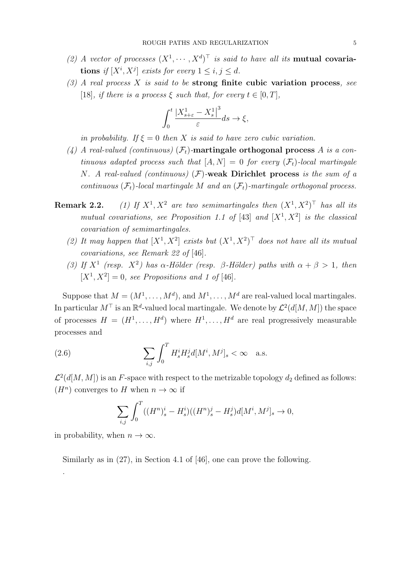- (2) A vector of processes  $(X^1, \dots, X^d)^\top$  is said to have all its **mutual covaria**tions if  $[X^i, X^j]$  exists for every  $1 \leq i, j \leq d$ .
- $(3)$  A real process X is said to be strong finite cubic variation process, see [18], if there is a process  $\xi$  such that, for every  $t \in [0, T]$ ,

$$
\int_0^t \frac{|X_{s+\varepsilon}^1 - X_s^1|^3}{\varepsilon} ds \to \xi,
$$

in probability. If  $\xi = 0$  then X is said to have zero cubic variation.

- (4) A real-valued (continuous)  $(\mathcal{F}_t)$ -martingale orthogonal process A is a continuous adapted process such that  $[A, N] = 0$  for every  $(\mathcal{F}_t)$ -local martingale N. A real-valued (continuous)  $(F)$ -weak Dirichlet process is the sum of a continuous  $(\mathcal{F}_t)$ -local martingale M and an  $(\mathcal{F}_t)$ -martingale orthogonal process.
- Remark 2.2.  $,X^2$  are two semimartingales then  $(X^1, X^2)^\top$  has all its mutual covariations, see Proposition 1.1 of [43] and  $[X^1, X^2]$  is the classical covariation of semimartingales.
	- (2) It may happen that  $[X^1, X^2]$  exists but  $(X^1, X^2)^\top$  does not have all its mutual covariations, see Remark 22 of [46].
	- (3) If  $X^1$  (resp.  $X^2$ ) has  $\alpha$ -Hölder (resp.  $\beta$ -Hölder) paths with  $\alpha + \beta > 1$ , then  $[X^1, X^2] = 0$ , see Propositions and 1 of [46].

Suppose that  $M = (M^1, \ldots, M^d)$ , and  $M^1, \ldots, M^d$  are real-valued local martingales. In particular  $M^{\top}$  is an  $\mathbb{R}^{d}$ -valued local martingale. We denote by  $\mathcal{L}^{2}(d[M, M])$  the space of processes  $H = (H^1, \ldots, H^d)$  where  $H^1, \ldots, H^d$  are real progressively measurable processes and

(2.6) 
$$
\sum_{i,j} \int_0^T H_s^i H_s^j d[M^i, M^j]_s < \infty \quad \text{a.s.}
$$

 $\mathcal{L}^2(d[M,M])$  is an F-space with respect to the metrizable topology  $d_2$  defined as follows:  $(H^n)$  converges to H when  $n \to \infty$  if

$$
\sum_{i,j} \int_0^T ((H^n)_s^i - H_s^i)((H^n)_s^j - H_s^j)d[M^i, M^j]_s \to 0,
$$

in probability, when  $n \to \infty$ .

.

Similarly as in (27), in Section 4.1 of [46], one can prove the following.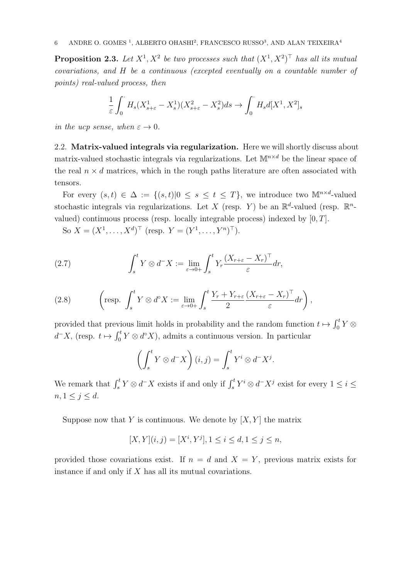**Proposition 2.3.** Let  $X^1, X^2$  be two processes such that  $(X^1, X^2)^\top$  has all its mutual covariations, and H be a continuous (excepted eventually on a countable number of points) real-valued process, then

$$
\frac{1}{\varepsilon} \int_0^{\cdot} H_s(X_{s+\varepsilon}^1 - X_s^1)(X_{s+\varepsilon}^2 - X_s^2) ds \to \int_0^{\cdot} H_s d[X^1, X^2]_s
$$

in the ucp sense, when  $\varepsilon \to 0$ .

2.2. Matrix-valued integrals via regularization. Here we will shortly discuss about matrix-valued stochastic integrals via regularizations. Let  $\mathbb{M}^{n \times d}$  be the linear space of the real  $n \times d$  matrices, which in the rough paths literature are often associated with tensors.

For every  $(s,t) \in \Delta := \{(s,t)|0 \leq s \leq t \leq T\}$ , we introduce two  $\mathbb{M}^{n \times d}$ -valued stochastic integrals via regularizations. Let X (resp. Y) be an  $\mathbb{R}^d$ -valued (resp.  $\mathbb{R}^n$ valued) continuous process (resp. locally integrable process) indexed by  $[0, T]$ .

So  $X = (X^1, ..., X^d)^{\top}$  (resp.  $Y = (Y^1, ..., Y^n)^{\top}$ ).

(2.7) 
$$
\int_{s}^{t} Y \otimes d^{-} X := \lim_{\varepsilon \to 0+} \int_{s}^{t} Y_{r} \frac{(X_{r+\varepsilon} - X_{r})^{\top}}{\varepsilon} dr,
$$

(2.8) 
$$
\left(\text{resp. } \int_s^t Y \otimes d^\circ X := \lim_{\varepsilon \to 0+} \int_s^t \frac{Y_r + Y_{r+\varepsilon} (X_{r+\varepsilon} - X_r)^\top}{2} dr\right),
$$

provided that previous limit holds in probability and the random function  $t \mapsto \int_0^t Y \otimes$  $d^-X$ , (resp.  $t \mapsto \int_0^t Y \otimes d^{\circ}X$ ), admits a continuous version. In particular

$$
\left(\int_s^t Y \otimes d^-X\right)(i,j) = \int_s^t Y^i \otimes d^-X^j.
$$

We remark that  $\int_s^t Y \otimes d^-X$  exists if and only if  $\int_s^t Y^i \otimes d^-X^j$  exist for every  $1 \leq i \leq$  $n, 1 \leq j \leq d.$ 

Suppose now that Y is continuous. We denote by  $[X, Y]$  the matrix

$$
[X,Y](i,j) = [X^i, Y^j], 1 \le i \le d, 1 \le j \le n,
$$

provided those covariations exist. If  $n = d$  and  $X = Y$ , previous matrix exists for instance if and only if  $X$  has all its mutual covariations.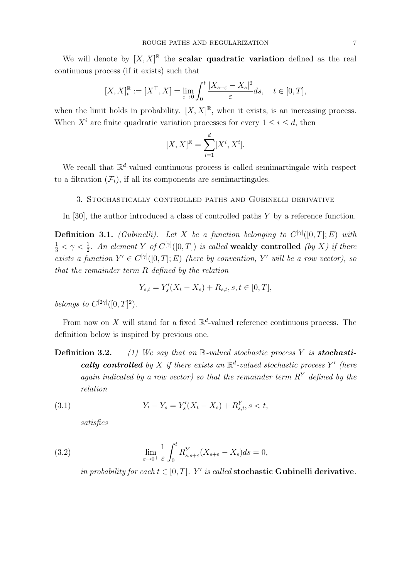We will denote by  $[X, X]^{\mathbb{R}}$  the **scalar quadratic variation** defined as the real continuous process (if it exists) such that

$$
[X, X]_t^{\mathbb{R}} := [X^{\top}, X] = \lim_{\varepsilon \to 0} \int_0^t \frac{|X_{s+\varepsilon} - X_s|^2}{\varepsilon} ds, \quad t \in [0, T],
$$

when the limit holds in probability.  $[X, X]^{\mathbb{R}}$ , when it exists, is an increasing process. When  $X^i$  are finite quadratic variation processes for every  $1 \leq i \leq d$ , then

$$
[X,X]^{\mathbb{R}} = \sum_{i=1}^{d} [X^i, X^i].
$$

We recall that  $\mathbb{R}^d$ -valued continuous process is called semimartingale with respect to a filtration  $(\mathcal{F}_t)$ , if all its components are semimartingales.

### 3. Stochastically controlled paths and Gubinelli derivative

In [30], the author introduced a class of controlled paths Y by a reference function.

**Definition 3.1.** (Gubinelli). Let X be a function belonging to  $C^{[\gamma]}([0,T];E)$  with  $\frac{1}{3} < \gamma < \frac{1}{2}$ . An element Y of  $C^{[\gamma]}([0,T])$  is called weakly controlled (by X) if there exists a function  $Y' \in C^{[\gamma]}([0,T];E)$  (here by convention, Y' will be a row vector), so that the remainder term R defined by the relation

$$
Y_{s,t} = Y_s'(X_t - X_s) + R_{s,t}, s, t \in [0, T],
$$

belongs to  $C^{[2\gamma]}([0,T]^2)$ .

From now on X will stand for a fixed  $\mathbb{R}^d$ -valued reference continuous process. The definition below is inspired by previous one.

**Definition 3.2.** (1) We say that an R-valued stochastic process Y is **stochasti**cally controlled by X if there exists an  $\mathbb{R}^d$ -valued stochastic process Y' (here again indicated by a row vector) so that the remainder term  $R<sup>Y</sup>$  defined by the relation

(3.1) 
$$
Y_t - Y_s = Y'_s(X_t - X_s) + R_{s,t}^Y, s < t,
$$

satisfies

(3.2) 
$$
\lim_{\varepsilon \to 0^+} \frac{1}{\varepsilon} \int_0^t R^Y_{s,s+\varepsilon}(X_{s+\varepsilon} - X_s) ds = 0,
$$

in probability for each  $t \in [0, T]$ . Y' is called **stochastic Gubinelli derivative**.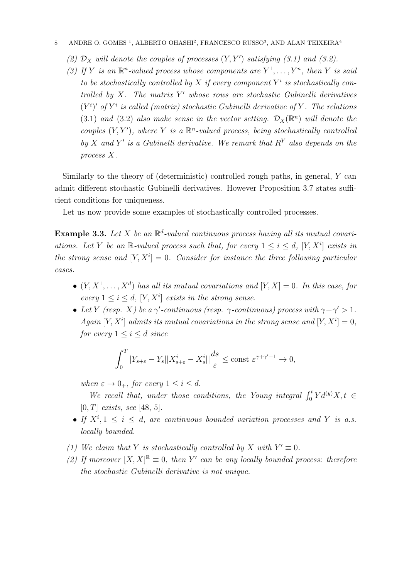- (2)  $\mathcal{D}_X$  will denote the couples of processes  $(Y, Y')$  satisfying (3.1) and (3.2).
- (3) If Y is an  $\mathbb{R}^n$ -valued process whose components are  $Y^1, \ldots, Y^n$ , then Y is said to be stochastically controlled by  $X$  if every component  $Y^i$  is stochastically controlled by  $X$ . The matrix  $Y'$  whose rows are stochastic Gubinelli derivatives  $(Y^i)'$  of  $Y^i$  is called (matrix) stochastic Gubinelli derivative of Y. The relations (3.1) and (3.2) also make sense in the vector setting.  $\mathcal{D}_X(\mathbb{R}^n)$  will denote the couples  $(Y, Y')$ , where Y is a  $\mathbb{R}^n$ -valued process, being stochastically controlled by X and Y' is a Gubinelli derivative. We remark that  $R<sup>Y</sup>$  also depends on the process X.

Similarly to the theory of (deterministic) controlled rough paths, in general, Y can admit different stochastic Gubinelli derivatives. However Proposition 3.7 states sufficient conditions for uniqueness.

Let us now provide some examples of stochastically controlled processes.

**Example 3.3.** Let X be an  $\mathbb{R}^d$ -valued continuous process having all its mutual covariations. Let Y be an R-valued process such that, for every  $1 \leq i \leq d$ ,  $[Y, X^i]$  exists in the strong sense and  $[Y, X^i] = 0$ . Consider for instance the three following particular cases.

- $(Y, X^1, \ldots, X^d)$  has all its mutual covariations and  $[Y, X] = 0$ . In this case, for every  $1 \leq i \leq d$ ,  $[Y, X^i]$  exists in the strong sense.
- Let Y (resp. X) be a  $\gamma$ -continuous (resp.  $\gamma$ -continuous) process with  $\gamma + \gamma' > 1$ . Again [Y, X<sup>i</sup>] admits its mutual covariations in the strong sense and [Y, X<sup>i</sup>] = 0, for every  $1 \leq i \leq d$  since

$$
\int_0^T |Y_{s+\varepsilon} - Y_s||X_{s+\varepsilon}^i - X_s^i||\frac{ds}{\varepsilon} \le \text{const } \varepsilon^{\gamma + \gamma' - 1} \to 0,
$$

when  $\varepsilon \to 0_+$ , for every  $1 \leq i \leq d$ .

We recall that, under those conditions, the Young integral  $\int_0^t Y d^{(y)}X$ ,  $t \in$  $[0, T]$  exists, see [48, 5].

- If  $X^i, 1 \leq i \leq d$ , are continuous bounded variation processes and Y is a.s. locally bounded.
- (1) We claim that Y is stochastically controlled by X with  $Y' \equiv 0$ .
- (2) If moreover  $[X, X]^{\mathbb{R}} \equiv 0$ , then Y' can be any locally bounded process: therefore the stochastic Gubinelli derivative is not unique.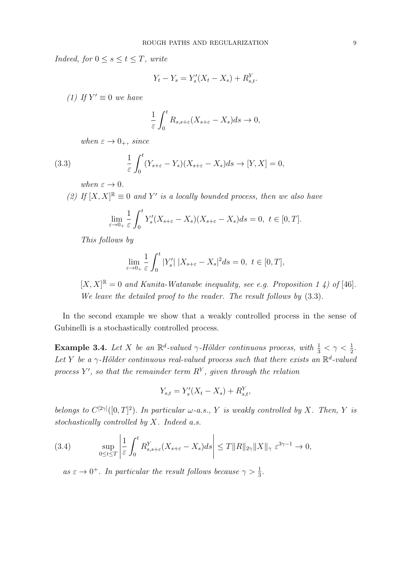Indeed, for  $0 \leq s \leq t \leq T$ , write

$$
Y_t - Y_s = Y'_s(X_t - X_s) + R_{s,t}^Y.
$$

(1) If  $Y' \equiv 0$  we have

$$
\frac{1}{\varepsilon} \int_0^t R_{s,s+\varepsilon} (X_{s+\varepsilon} - X_s) ds \to 0,
$$

when  $\varepsilon \to 0_+$ , since

(3.3) 
$$
\frac{1}{\varepsilon} \int_0^t (Y_{s+\varepsilon} - Y_s)(X_{s+\varepsilon} - X_s) ds \to [Y, X] = 0,
$$

when  $\varepsilon \to 0$ .

(2) If  $[X, X]^{\mathbb{R}} \equiv 0$  and Y' is a locally bounded process, then we also have

$$
\lim_{\varepsilon \to 0+} \frac{1}{\varepsilon} \int_0^t Y_s'(X_{s+\varepsilon} - X_s)(X_{s+\varepsilon} - X_s) ds = 0, \ t \in [0, T].
$$

This follows by

$$
\lim_{\varepsilon \to 0+} \frac{1}{\varepsilon} \int_0^t |Y_s'| |X_{s+\varepsilon} - X_s|^2 ds = 0, \ t \in [0, T],
$$

 $[X, X]^{\mathbb{R}} = 0$  and Kunita-Watanabe inequality, see e.g. Proposition 1 4) of [46]. We leave the detailed proof to the reader. The result follows by  $(3.3)$ .

In the second example we show that a weakly controlled process in the sense of Gubinelli is a stochastically controlled process.

**Example 3.4.** Let X be an  $\mathbb{R}^d$ -valued  $\gamma$ -Hölder continuous process, with  $\frac{1}{3} < \gamma < \frac{1}{2}$ . Let Y be a  $\gamma$ -Hölder continuous real-valued process such that there exists an  $\mathbb{R}^d$ -valued process Y', so that the remainder term  $R<sup>Y</sup>$ , given through the relation

$$
Y_{s,t} = Y_s'(X_t - X_s) + R_{s,t}^Y,
$$

belongs to  $C^{[2\gamma]}([0,T]^2)$ . In particular  $\omega$ -a.s., Y is weakly controlled by X. Then, Y is stochastically controlled by  $X$ . Indeed a.s.

(3.4) 
$$
\sup_{0 \le t \le T} \left| \frac{1}{\varepsilon} \int_0^t R^Y_{s,s+\varepsilon}(X_{s+\varepsilon} - X_s) ds \right| \le T \|R\|_{2\gamma} \|X\|_{\gamma} \varepsilon^{3\gamma - 1} \to 0,
$$

as  $\varepsilon \to 0^+$ . In particular the result follows because  $\gamma > \frac{1}{3}$ .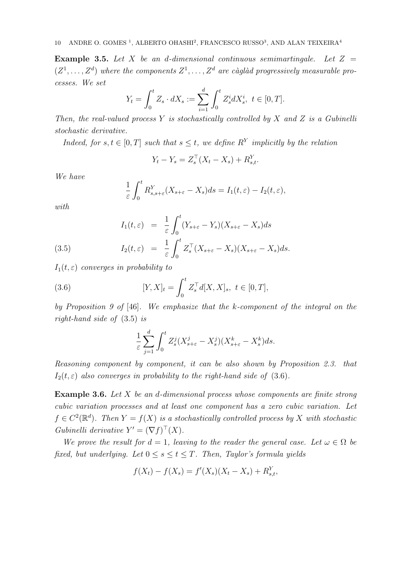**Example 3.5.** Let X be an d-dimensional continuous semimartingale. Let  $Z =$  $(Z^1, \ldots, Z^d)$  where the components  $Z^1, \ldots, Z^d$  are càglàd progressively measurable processes. We set

$$
Y_t = \int_0^t Z_s \cdot dX_s := \sum_{i=1}^d \int_0^t Z_s^i dX_s^i, \ t \in [0, T].
$$

Then, the real-valued process Y is stochastically controlled by X and Z is a Gubinelli stochastic derivative.

Indeed, for  $s, t \in [0, T]$  such that  $s \leq t$ , we define  $R^Y$  implicitly by the relation

$$
Y_t - Y_s = Z_s^{\top} (X_t - X_s) + R_{s,t}^Y.
$$

We have

$$
\frac{1}{\varepsilon} \int_0^t R^Y_{s,s+\varepsilon}(X_{s+\varepsilon}-X_s)ds = I_1(t,\varepsilon)-I_2(t,\varepsilon),
$$

with

(3.5) 
$$
I_1(t,\varepsilon) = \frac{1}{\varepsilon} \int_0^t (Y_{s+\varepsilon} - Y_s)(X_{s+\varepsilon} - X_s) ds
$$

$$
I_2(t,\varepsilon) = \frac{1}{\varepsilon} \int_0^t Z_s^{\top} (X_{s+\varepsilon} - X_s)(X_{s+\varepsilon} - X_s) ds.
$$

 $I_1(t,\varepsilon)$  converges in probability to

(3.6) 
$$
[Y, X]_t = \int_0^t Z_s^\top d[X, X]_s, \ t \in [0, T],
$$

by Proposition 9 of [46]. We emphasize that the k-component of the integral on the right-hand side of (3.5) is

$$
\frac{1}{\varepsilon} \sum_{j=1}^d \int_0^t Z_s^j (X_{s+\varepsilon}^j - X_s^j)(X_{s+\varepsilon}^k - X_s^k) ds.
$$

Reasoning component by component, it can be also shown by Proposition 2.3. that  $I_2(t,\varepsilon)$  also converges in probability to the right-hand side of (3.6).

**Example 3.6.** Let  $X$  be an d-dimensional process whose components are finite strong cubic variation processes and at least one component has a zero cubic variation. Let  $f \in C^2(\mathbb{R}^d)$ . Then  $Y = f(X)$  is a stochastically controlled process by X with stochastic Gubinelli derivative  $Y' = (\nabla f)^{\top}(X)$ .

We prove the result for  $d = 1$ , leaving to the reader the general case. Let  $\omega \in \Omega$  be fixed, but underlying. Let  $0 \leq s \leq t \leq T$ . Then, Taylor's formula yields

$$
f(X_t) - f(X_s) = f'(X_s)(X_t - X_s) + R_{s,t}^Y,
$$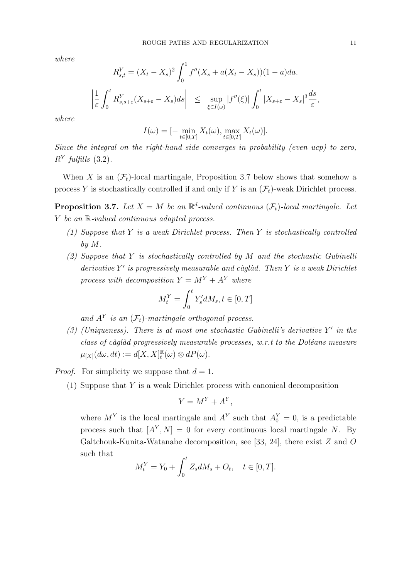where

$$
R_{s,t}^{Y} = (X_t - X_s)^2 \int_0^1 f''(X_s + a(X_t - X_s))(1 - a)da.
$$
  

$$
\left| \frac{1}{\varepsilon} \int_0^t R_{s,s+\varepsilon}^{Y}(X_{s+\varepsilon} - X_s)ds \right| \le \sup_{\xi \in I(\omega)} |f''(\xi)| \int_0^t |X_{s+\varepsilon} - X_s|^3 \frac{ds}{\varepsilon},
$$

where

$$
I(\omega) = [-\min_{t \in [0,T]} X_t(\omega), \max_{t \in [0,T]} X_t(\omega)].
$$

Since the integral on the right-hand side converges in probability (even ucp) to zero,  $R^Y$  fulfills (3.2).

When X is an  $(\mathcal{F}_t)$ -local martingale, Proposition 3.7 below shows that somehow a process Y is stochastically controlled if and only if Y is an  $(\mathcal{F}_t)$ -weak Dirichlet process.

**Proposition 3.7.** Let  $X = M$  be an  $\mathbb{R}^d$ -valued continuous  $(\mathcal{F}_t)$ -local martingale. Let Y be an  $\mathbb{R}\text{-}valued$  continuous adapted process.

- (1) Suppose that Y is a weak Dirichlet process. Then Y is stochastically controlled by M.
- (2) Suppose that Y is stochastically controlled by M and the stochastic Gubinelli  $derivative Y'$  is progressively measurable and càglàd. Then  $Y$  is a weak Dirichlet process with decomposition  $Y = M^Y + A^Y$  where

$$
M_t^Y = \int_0^t Y_s' dM_s, t \in [0, T]
$$

and  $A^Y$  is an  $(\mathcal{F}_t)$ -martingale orthogonal process.

(3) (Uniqueness). There is at most one stochastic Gubinelli's derivative  $Y'$  in the class of càglàd progressively measurable processes, w.r.t to the Doléans measure  $\mu_{[X]}(d\omega, dt) := d[X, X]_t^{\mathbb{R}}$  $t^{\mathbb{R}}(\omega) \otimes dP(\omega).$ 

*Proof.* For simplicity we suppose that  $d = 1$ .

(1) Suppose that Y is a weak Dirichlet process with canonical decomposition

$$
Y = M^Y + A^Y,
$$

where  $M^Y$  is the local martingale and  $A^Y$  such that  $A_0^Y = 0$ , is a predictable process such that  $[A<sup>Y</sup>, N] = 0$  for every continuous local martingale N. By Galtchouk-Kunita-Watanabe decomposition, see [33, 24], there exist Z and O such that

$$
M_t^Y = Y_0 + \int_0^t Z_s dM_s + O_t, \quad t \in [0, T].
$$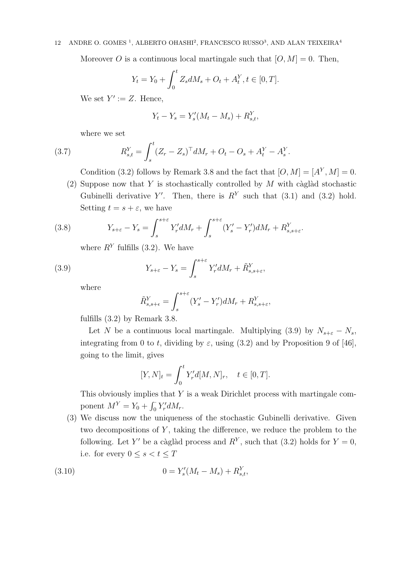Moreover O is a continuous local martingale such that  $[O, M] = 0$ . Then,

$$
Y_t = Y_0 + \int_0^t Z_s dM_s + O_t + A_t^Y, t \in [0, T].
$$

We set  $Y' := Z$ . Hence,

$$
Y_t - Y_s = Y'_s(M_t - M_s) + R_{s,t}^Y,
$$

where we set

(3.7) 
$$
R_{s,t}^{Y} = \int_{s}^{t} (Z_r - Z_s)^{\top} dM_r + O_t - O_s + A_t^{Y} - A_s^{Y}.
$$

Condition (3.2) follows by Remark 3.8 and the fact that  $[O, M] = [A<sup>Y</sup>, M] = 0$ .

(2) Suppose now that Y is stochastically controlled by  $M$  with càglàd stochastic Gubinelli derivative Y'. Then, there is  $R<sup>Y</sup>$  such that (3.1) and (3.2) hold. Setting  $t = s + \varepsilon$ , we have

(3.8) 
$$
Y_{s+\varepsilon} - Y_s = \int_s^{s+\varepsilon} Y'_r dM_r + \int_s^{s+\varepsilon} (Y'_s - Y'_r) dM_r + R^Y_{s,s+\varepsilon}.
$$

where  $R<sup>Y</sup>$  fulfills (3.2). We have

(3.9) 
$$
Y_{s+\varepsilon} - Y_s = \int_s^{s+\varepsilon} Y'_r dM_r + \tilde{R}_{s,s+\varepsilon}^Y,
$$

where

$$
\tilde{R}_{s,s+\epsilon}^Y = \int_s^{s+\epsilon} (Y'_s - Y'_r) dM_r + R_{s,s+\epsilon}^Y,
$$

fulfills (3.2) by Remark 3.8.

Let N be a continuous local martingale. Multiplying (3.9) by  $N_{s+\varepsilon} - N_s$ , integrating from 0 to t, dividing by  $\varepsilon$ , using (3.2) and by Proposition 9 of [46], going to the limit, gives

$$
[Y, N]_t = \int_0^t Y'_r d[M, N]_r, \quad t \in [0, T].
$$

This obviously implies that  $Y$  is a weak Dirichlet process with martingale component  $M^Y = Y_0 + \int_0^{\cdot} Y'_r dM_r$ .

(3) We discuss now the uniqueness of the stochastic Gubinelli derivative. Given two decompositions of  $Y$ , taking the difference, we reduce the problem to the following. Let Y' be a càglàd process and  $R<sup>Y</sup>$ , such that (3.2) holds for  $Y = 0$ , i.e. for every  $0 \leq s < t \leq T$ 

(3.10) 
$$
0 = Y_s'(M_t - M_s) + R_{s,t}^Y,
$$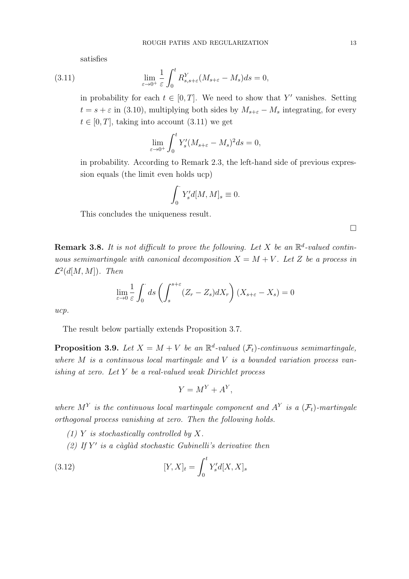satisfies

(3.11) 
$$
\lim_{\varepsilon \to 0^+} \frac{1}{\varepsilon} \int_0^t R^Y_{s,s+\varepsilon} (M_{s+\varepsilon} - M_s) ds = 0,
$$

in probability for each  $t \in [0, T]$ . We need to show that Y' vanishes. Setting  $t = s + \varepsilon$  in (3.10), multiplying both sides by  $M_{s+\varepsilon} - M_s$  integrating, for every  $t \in [0, T]$ , taking into account  $(3.11)$  we get

$$
\lim_{\varepsilon \to 0^+} \int_0^t Y_s'(M_{s+\varepsilon} - M_s)^2 ds = 0,
$$

in probability. According to Remark 2.3, the left-hand side of previous expression equals (the limit even holds ucp)

$$
\int_0^\cdot Y_s'd[M,M]_s\equiv 0.
$$

This concludes the uniqueness result.

 $\Box$ 

**Remark 3.8.** It is not difficult to prove the following. Let X be an  $\mathbb{R}^d$ -valued continuous semimartingale with canonical decomposition  $X = M + V$ . Let Z be a process in  $\mathcal{L}^2(d[M,M])$ . Then

$$
\lim_{\varepsilon \to 0} \frac{1}{\varepsilon} \int_0^{\cdot} ds \left( \int_s^{s+\varepsilon} (Z_r - Z_s) dX_r \right) (X_{s+\varepsilon} - X_s) = 0
$$

ucp.

The result below partially extends Proposition 3.7.

**Proposition 3.9.** Let  $X = M + V$  be an  $\mathbb{R}^d$ -valued  $(\mathcal{F}_t)$ -continuous semimartingale, where  $M$  is a continuous local martingale and  $V$  is a bounded variation process vanishing at zero. Let Y be a real-valued weak Dirichlet process

$$
Y = M^Y + A^Y,
$$

where  $M^Y$  is the continuous local martingale component and  $A^Y$  is a  $(\mathcal{F}_t)$ -martingale orthogonal process vanishing at zero. Then the following holds.

- (1) Y is stochastically controlled by  $X$ .
- (2) If  $Y'$  is a càglàd stochastic Gubinelli's derivative then

(3.12) 
$$
[Y, X]_t = \int_0^t Y'_s d[X, X]_s
$$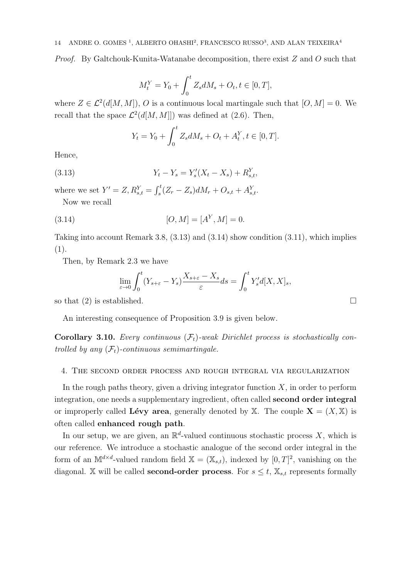Proof. By Galtchouk-Kunita-Watanabe decomposition, there exist Z and O such that

$$
M_t^Y = Y_0 + \int_0^t Z_s dM_s + O_t, t \in [0, T],
$$

where  $Z \in \mathcal{L}^2(d[M,M]), O$  is a continuous local martingale such that  $[O,M] = 0$ . We recall that the space  $\mathcal{L}^2(d[M,M]])$  was defined at (2.6). Then,

$$
Y_t = Y_0 + \int_0^t Z_s dM_s + O_t + A_t^Y, t \in [0, T].
$$

Hence,

(3.13) 
$$
Y_t - Y_s = Y'_s(X_t - X_s) + R_{s,t}^Y,
$$

where we set  $Y' = Z, R_{s,t}^Y = \int_s^t (Z_r - Z_s) dM_r + O_{s,t} + A_{s,t}^Y$ . Now we recall

(3.14) 
$$
[O, M] = [AY, M] = 0.
$$

Taking into account Remark 3.8, (3.13) and (3.14) show condition (3.11), which implies (1).

Then, by Remark 2.3 we have

$$
\lim_{\varepsilon \to 0} \int_0^t (Y_{s+\varepsilon} - Y_s) \frac{X_{s+\varepsilon} - X_s}{\varepsilon} ds = \int_0^t Y'_s d[X, X]_s,
$$

so that (2) is established.  $\square$ 

An interesting consequence of Proposition 3.9 is given below.

**Corollary 3.10.** Every continuous  $(F_t)$ -weak Dirichlet process is stochastically controlled by any  $(\mathcal{F}_t)$ -continuous semimartingale.

## 4. The second order process and rough integral via regularization

In the rough paths theory, given a driving integrator function  $X$ , in order to perform integration, one needs a supplementary ingredient, often called second order integral or improperly called Lévy area, generally denoted by X. The couple  $X = (X, X)$  is often called enhanced rough path.

In our setup, we are given, an  $\mathbb{R}^d$ -valued continuous stochastic process X, which is our reference. We introduce a stochastic analogue of the second order integral in the form of an  $\mathbb{M}^{d \times d}$ -valued random field  $\mathbb{X} = (\mathbb{X}_{s,t})$ , indexed by  $[0,T]^2$ , vanishing on the diagonal. X will be called **second-order process**. For  $s \leq t$ ,  $\mathbb{X}_{s,t}$  represents formally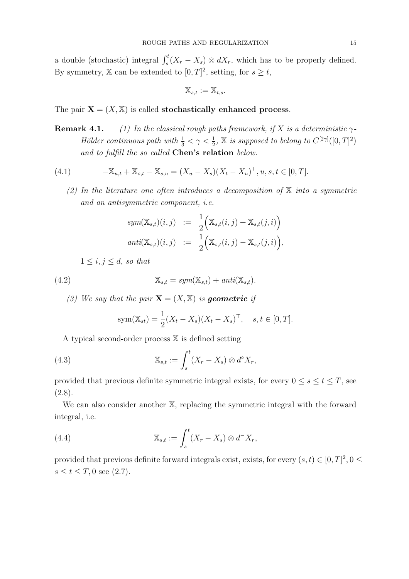a double (stochastic) integral  $\int_s^t (X_r - X_s) \otimes dX_r$ , which has to be properly defined. By symmetry, X can be extended to  $[0, T]^2$ , setting, for  $s \geq t$ ,

$$
\mathbb{X}_{s,t}:=\mathbb{X}_{t,s}.
$$

The pair  $X = (X, X)$  is called **stochastically enhanced process.** 

**Remark 4.1.** (1) In the classical rough paths framework, if X is a deterministic  $\gamma$ -Hölder continuous path with  $\frac{1}{3} < \gamma < \frac{1}{2}$ ,  $\mathbb{X}$  is supposed to belong to  $C^{[2\gamma]}([0,T]^2)$ and to fulfill the so called **Chen's relation** below.

(4.1) 
$$
-\mathbb{X}_{u,t} + \mathbb{X}_{s,t} - \mathbb{X}_{s,u} = (X_u - X_s)(X_t - X_u)^\top, u, s, t \in [0, T].
$$

(2) In the literature one often introduces a decomposition of  $X$  into a symmetric and an antisymmetric component, i.e.

$$
sym(\mathbb{X}_{s,t})(i,j) := \frac{1}{2} \Big( \mathbb{X}_{s,t}(i,j) + \mathbb{X}_{s,t}(j,i) \Big)
$$
  

$$
anti(\mathbb{X}_{s,t})(i,j) := \frac{1}{2} \Big( \mathbb{X}_{s,t}(i,j) - \mathbb{X}_{s,t}(j,i) \Big),
$$

 $1 \leq i, j \leq d$ , so that

(4.2) 
$$
\mathbb{X}_{s,t} = sym(\mathbb{X}_{s,t}) + anti(\mathbb{X}_{s,t}).
$$

(3) We say that the pair  $\mathbf{X} = (X, \mathbb{X})$  is geometric if

sym(
$$
\mathbb{X}_{st}
$$
) =  $\frac{1}{2}(X_t - X_s)(X_t - X_s)^{\top}$ ,  $s, t \in [0, T]$ .

A typical second-order process X is defined setting

(4.3) 
$$
\mathbb{X}_{s,t} := \int_s^t (X_r - X_s) \otimes d^{\circ} X_r,
$$

provided that previous definite symmetric integral exists, for every  $0 \leq s \leq t \leq T$ , see  $(2.8).$ 

We can also consider another X, replacing the symmetric integral with the forward integral, i.e.

(4.4) 
$$
\mathbb{X}_{s,t} := \int_s^t (X_r - X_s) \otimes d^- X_r,
$$

provided that previous definite forward integrals exist, exists, for every  $(s,t) \in [0,T]^2, 0 \le$  $s \le t \le T, 0$  see (2.7).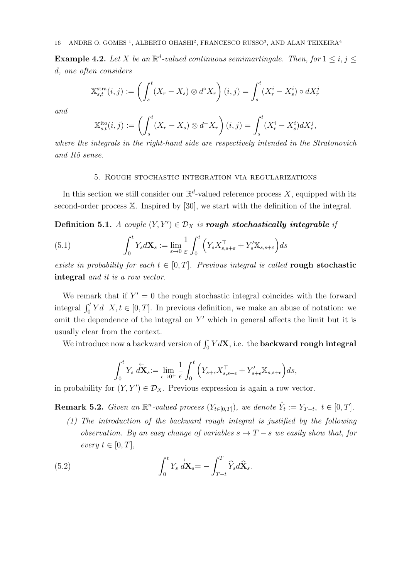**Example 4.2.** Let X be an  $\mathbb{R}^d$ -valued continuous semimartingale. Then, for  $1 \le i, j \le n$ d, one often considers

$$
\mathbb{X}_{s,t}^{\text{stra}}(i,j) := \left(\int_s^t (X_r - X_s) \otimes d^{\circ} X_r\right)(i,j) = \int_s^t (X_r^i - X_s^i) \circ dX_r^j
$$

and

$$
\mathbb{X}_{s,t}^{\text{ito}}(i,j) := \left(\int_s^t (X_r - X_s) \otimes d^- X_r\right)(i,j) = \int_s^t (X_r^i - X_s^i) dX_r^j,
$$

where the integrals in the right-hand side are respectively intended in the Stratonovich and Itô sense.

### 5. Rough stochastic integration via regularizations

In this section we still consider our  $\mathbb{R}^d$ -valued reference process X, equipped with its second-order process X. Inspired by [30], we start with the definition of the integral.

Definition 5.1. A couple  $(Y, Y') \in \mathcal{D}_X$  is rough stochastically integrable if

(5.1) 
$$
\int_0^t Y_s d\mathbf{X}_s := \lim_{\varepsilon \to 0} \frac{1}{\varepsilon} \int_0^t \left( Y_s X_{s,s+\varepsilon}^\top + Y_s' \mathbb{X}_{s,s+\varepsilon} \right) ds
$$

exists in probability for each  $t \in [0, T]$ . Previous integral is called rough stochastic integral and it is a row vector.

We remark that if  $Y' = 0$  the rough stochastic integral coincides with the forward integral  $\int_0^t Y d^-X$ ,  $t \in [0, T]$ . In previous definition, we make an abuse of notation: we omit the dependence of the integral on Y ′ which in general affects the limit but it is usually clear from the context.

We introduce now a backward version of  $\int_0^{\cdot} Y d{\bf X},$  i.e. the **backward rough integral** 

$$
\int_0^t Y_s \, d\mathbf{X}_s := \lim_{\epsilon \to 0^+} \frac{1}{\epsilon} \int_0^t \left( Y_{s+\epsilon} X_{s,s+\epsilon}^\top + Y_{s+\epsilon}' \mathbb{X}_{s,s+\epsilon} \right) ds,
$$

in probability for  $(Y, Y') \in \mathcal{D}_X$ . Previous expression is again a row vector.

**Remark 5.2.** Given an  $\mathbb{R}^n$ -valued process  $(Y_{t \in [0,T]})$ , we denote  $\hat{Y}_t := Y_{T-t}$ ,  $t \in [0,T]$ .

(1) The introduction of the backward rough integral is justified by the following observation. By an easy change of variables  $s \mapsto T - s$  we easily show that, for every  $t \in [0, T]$ ,

(5.2) 
$$
\int_0^t Y_s \, d\mathbf{X}_s = -\int_{T-t}^T \widehat{Y}_s d\widehat{\mathbf{X}}_s.
$$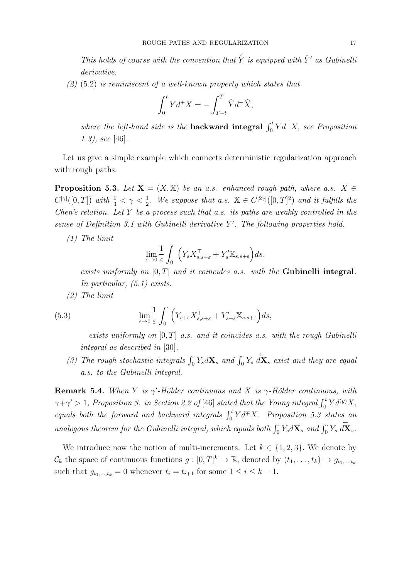This holds of course with the convention that  $\hat{Y}$  is equipped with  $\hat{Y}'$  as Gubinelli derivative.

 $(2)$  (5.2) is reminiscent of a well-known property which states that

$$
\int_0^t Y d^+X = -\int_{T-t}^T \widehat{Y} d^- \widehat{X},
$$

where the left-hand side is the **backward integral**  $\int_0^t Y d^+X$ , see Proposition 1 3), see [46].

Let us give a simple example which connects deterministic regularization approach with rough paths.

**Proposition 5.3.** Let  $X = (X, X)$  be an a.s. enhanced rough path, where a.s.  $X \in$  $C^{[\gamma]}([0,T])$  with  $\frac{1}{3} < \gamma < \frac{1}{2}$ . We suppose that a.s.  $\mathbb{X} \in C^{[2\gamma]}([0,T]^2)$  and it fulfills the Chen's relation. Let Y be a process such that a.s. its paths are weakly controlled in the sense of Definition 3.1 with Gubinelli derivative  $Y'$ . The following properties hold.

(1) The limit

$$
\lim_{\varepsilon \to 0} \frac{1}{\varepsilon} \int_0^{\cdot} \left( Y_s X_{s,s+\varepsilon}^{\top} + Y_s' \mathbb{X}_{s,s+\varepsilon} \right) ds,
$$

exists uniformly on  $[0, T]$  and it coincides a.s. with the Gubinelli integral. In particular, (5.1) exists.

(2) The limit

(5.3) 
$$
\lim_{\varepsilon \to 0} \frac{1}{\varepsilon} \int_0^{\cdot} \left( Y_{s+\varepsilon} X_{s,s+\varepsilon}^{\top} + Y'_{s+\varepsilon} \mathbb{X}_{s,s+\varepsilon} \right) ds,
$$

exists uniformly on  $[0, T]$  a.s. and it coincides a.s. with the rough Gubinelli integral as described in [30].

(3) The rough stochastic integrals  $\int_0^{\cdot} Y_s dX_s$  and  $\int_0^{\cdot} Y_s d\mathbf{x}$  exist and they are equal a.s. to the Gubinelli integral.

**Remark 5.4.** When Y is  $\gamma'$ -Hölder continuous and X is  $\gamma$ -Hölder continuous, with  $\gamma + \gamma' > 1$ , Proposition 3. in Section 2.2 of [46] stated that the Young integral  $\int_0^t Y d^{(y)}X$ , equals both the forward and backward integrals  $\int_0^t Y d\bar{+}X$ . Proposition 5.3 states an analogous theorem for the Gubinelli integral, which equals both  $\int_0^{\cdot} Y_s dX_s$  and  $\int_0^{\cdot} Y_s d\mathbf{X}_s$ .

We introduce now the notion of multi-increments. Let  $k \in \{1,2,3\}$ . We denote by  $\mathcal{C}_k$  the space of continuous functions  $g: [0,T]^k \to \mathbb{R}$ , denoted by  $(t_1,\ldots,t_k) \mapsto g_{t_1,\ldots,t_k}$ such that  $g_{t_1,\dots,t_k} = 0$  whenever  $t_i = t_{i+1}$  for some  $1 \leq i \leq k-1$ .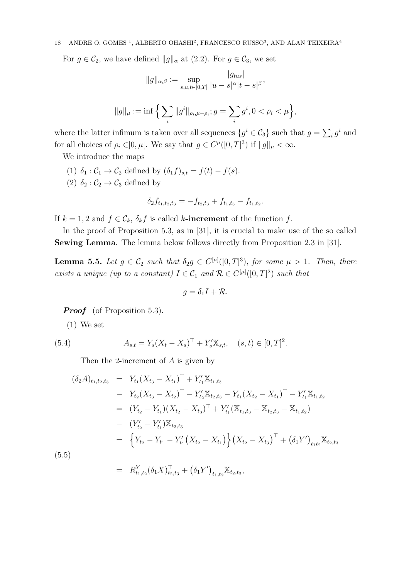For  $g \in C_2$ , we have defined  $||g||_{\alpha}$  at  $(2.2)$ . For  $g \in C_3$ , we set

$$
||g||_{\alpha,\beta} := \sup_{s,u,t \in [0,T]} \frac{|g_{tus}|}{|u-s|^{\alpha}|t-s|^{\beta}},
$$

$$
||g||_{\mu} := \inf \Big\{ \sum_{i} ||g^{i}||_{\rho_{i}, \mu - \rho_{i}}; g = \sum_{i} g^{i}, 0 < \rho_{i} < \mu \Big\},\
$$

where the latter infimum is taken over all sequences  $\{g^i \in \mathcal{C}_3\}$  such that  $g = \sum_i g^i$  and for all choices of  $\rho_i \in ]0, \mu[$ . We say that  $g \in C^{\mu}([0, T]^3)$  if  $||g||_{\mu} < \infty$ .

We introduce the maps

- (1)  $\delta_1: \mathcal{C}_1 \to \mathcal{C}_2$  defined by  $(\delta_1 f)_{s,t} = f(t) f(s)$ .
- (2)  $\delta_2: \mathcal{C}_2 \to \mathcal{C}_3$  defined by

$$
\delta_2 f_{t_1,t_2,t_3} = -f_{t_2,t_3} + f_{t_1,t_3} - f_{t_1,t_2}.
$$

If  $k = 1, 2$  and  $f \in \mathcal{C}_k$ ,  $\delta_k f$  is called k-increment of the function f.

In the proof of Proposition 5.3, as in [31], it is crucial to make use of the so called Sewing Lemma. The lemma below follows directly from Proposition 2.3 in [31].

**Lemma 5.5.** Let  $g \in C_2$  such that  $\delta_2 g \in C^{[\mu]}([0,T]^3)$ , for some  $\mu > 1$ . Then, there exists a unique (up to a constant)  $I \in C_1$  and  $\mathcal{R} \in C^{[\mu]}([0,T]^2)$  such that

$$
g=\delta_1I+\mathcal{R}.
$$

*Proof* (of Proposition 5.3).

(1) We set

(5.4) 
$$
A_{s,t} = Y_s (X_t - X_s)^\top + Y'_s \mathbb{X}_{s,t}, \quad (s,t) \in [0,T]^2.
$$

Then the 2-increment of A is given by

$$
(\delta_2 A)_{t_1,t_2,t_3} = Y_{t_1} (X_{t_3} - X_{t_1})^{\top} + Y_{t_1}' \mathbb{X}_{t_1,t_3}
$$
  
\n
$$
- Y_{t_2} (X_{t_3} - X_{t_2})^{\top} - Y_{t_2}' \mathbb{X}_{t_2,t_3} - Y_{t_1} (X_{t_2} - X_{t_1})^{\top} - Y_{t_1}' \mathbb{X}_{t_1,t_2}
$$
  
\n
$$
= (Y_{t_2} - Y_{t_1}) (X_{t_2} - X_{t_3})^{\top} + Y_{t_1}' (\mathbb{X}_{t_1,t_3} - \mathbb{X}_{t_2,t_3} - \mathbb{X}_{t_1,t_2})
$$
  
\n
$$
- (Y_{t_2}' - Y_{t_1}') \mathbb{X}_{t_2,t_3}
$$
  
\n
$$
= \left\{ Y_{t_2} - Y_{t_1} - Y_{t_1}' (X_{t_2} - X_{t_1}) \right\} (X_{t_2} - X_{t_3})^{\top} + (\delta_1 Y')_{t_1 t_2} \mathbb{X}_{t_2,t_3}
$$
  
\n(5.5)

$$
= R_{t_1,t_2}^Y(\delta_1 X)_{t_2,t_3}^T + (\delta_1 Y')_{t_1,t_2} \mathbb{X}_{t_2,t_3},
$$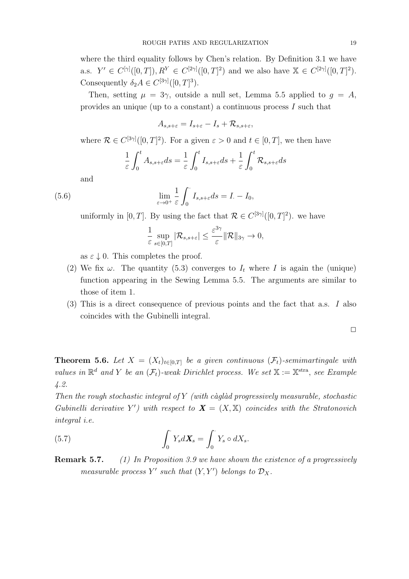where the third equality follows by Chen's relation. By Definition 3.1 we have a.s.  $Y' \in C^{[\gamma]}([0,T]), R^Y \in C^{[2\gamma]}([0,T]^2)$  and we also have  $\mathbb{X} \in C^{[2\gamma]}([0,T]^2)$ . Consequently  $\delta_2 A \in C^{[3\gamma]}([0,T]^3)$ .

Then, setting  $\mu = 3\gamma$ , outside a null set, Lemma 5.5 applied to  $q = A$ , provides an unique (up to a constant) a continuous process I such that

$$
A_{s,s+\varepsilon}=I_{s+\varepsilon}-I_s+\mathcal R_{s,s+\varepsilon},
$$

where  $\mathcal{R} \in C^{[3\gamma]}([0,T]^2)$ . For a given  $\varepsilon > 0$  and  $t \in [0,T]$ , we then have

$$
\frac{1}{\varepsilon} \int_0^t A_{s,s+\varepsilon} ds = \frac{1}{\varepsilon} \int_0^t I_{s,s+\varepsilon} ds + \frac{1}{\varepsilon} \int_0^t \mathcal{R}_{s,s+\varepsilon} ds
$$

and

 $(5.6)$ 

$$
\lim_{\varepsilon \to 0^+} \frac{1}{\varepsilon} \int_0^{\cdot} I_{s,s+\varepsilon} ds = I_{\cdot} - I_0,
$$

uniformly in [0, T]. By using the fact that  $\mathcal{R} \in C^{[3\gamma]}([0,T]^2)$ . we have

$$
\frac{1}{\varepsilon}\sup_{s\in[0,T]}|\mathcal{R}_{s,s+\varepsilon}|\leq \frac{\varepsilon^{3\gamma}}{\varepsilon}|\mathcal{R}\|_{3\gamma}\to 0,
$$

as  $\varepsilon \downarrow 0$ . This completes the proof.

- (2) We fix  $\omega$ . The quantity (5.3) converges to  $I_t$  where I is again the (unique) function appearing in the Sewing Lemma 5.5. The arguments are similar to those of item 1.
- (3) This is a direct consequence of previous points and the fact that a.s. I also coincides with the Gubinelli integral.

$$
\Box
$$

**Theorem 5.6.** Let  $X = (X_t)_{t \in [0,T]}$  be a given continuous  $(\mathcal{F}_t)$ -semimartingale with values in  $\mathbb{R}^d$  and Y be an  $(\mathcal{F}_t)$ -weak Dirichlet process. We set  $\mathbb{X} := \mathbb{X}^{stra}$ , see Example 4.2.

Then the rough stochastic integral of  $Y$  (with càglàd progressively measurable, stochastic Gubinelli derivative Y') with respect to  $\mathbf{X} = (X, \mathbb{X})$  coincides with the Stratonovich integral i.e.

(5.7) 
$$
\int_0^{\cdot} Y_s d\mathbf{X}_s = \int_0^{\cdot} Y_s \circ dX_s.
$$

**Remark 5.7.** (1) In Proposition 3.9 we have shown the existence of a progressively measurable process  $Y'$  such that  $(Y, Y')$  belongs to  $\mathcal{D}_X$ .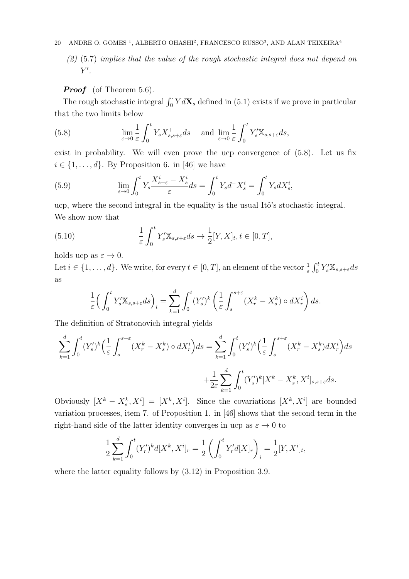$(2)$  (5.7) implies that the value of the rough stochastic integral does not depend on  $Y'.$ 

## **Proof** (of Theorem 5.6).

The rough stochastic integral  $\int_0^{\cdot} Y dX_s$  defined in (5.1) exists if we prove in particular that the two limits below

(5.8) 
$$
\lim_{\varepsilon \to 0} \frac{1}{\varepsilon} \int_0^t Y_s X_{s,s+\varepsilon}^\top ds \quad \text{and} \quad \lim_{\varepsilon \to 0} \frac{1}{\varepsilon} \int_0^t Y_s' \mathbb{X}_{s,s+\varepsilon} ds,
$$

exist in probability. We will even prove the ucp convergence of (5.8). Let us fix  $i \in \{1, \ldots, d\}$ . By Proposition 6. in [46] we have

(5.9) 
$$
\lim_{\varepsilon \to 0} \int_0^t Y_s \frac{X_{s+\varepsilon}^i - X_s^i}{\varepsilon} ds = \int_0^t Y_s d^- X_s^i = \int_0^t Y_s dX_s^i,
$$

ucp, where the second integral in the equality is the usual Itô's stochastic integral. We show now that

(5.10) 
$$
\frac{1}{\varepsilon} \int_0^t Y_s' \mathbb{X}_{s, s + \varepsilon} ds \to \frac{1}{2} [Y, X]_t, t \in [0, T],
$$

holds ucp as  $\varepsilon \to 0$ .

Let  $i \in \{1, \ldots, d\}$ . We write, for every  $t \in [0, T]$ , an element of the vector  $\frac{1}{\varepsilon} \int_0^t Y_s' \mathbb{X}_{s, s + \varepsilon} ds$ as

$$
\frac{1}{\varepsilon} \Big( \int_0^t Y'_s \mathbb{X}_{s,s+\varepsilon} ds \Big)_i = \sum_{k=1}^d \int_0^t (Y'_s)^k \left( \frac{1}{\varepsilon} \int_s^{s+\varepsilon} (X_r^k - X_s^k) \circ dX_r^i \right) ds.
$$

The definition of Stratonovich integral yields

$$
\sum_{k=1}^{d} \int_{0}^{t} (Y_s')^k \left( \frac{1}{\varepsilon} \int_{s}^{s+\varepsilon} (X_r^k - X_s^k) \circ dX_r^i \right) ds = \sum_{k=1}^{d} \int_{0}^{t} (Y_s')^k \left( \frac{1}{\varepsilon} \int_{s}^{s+\varepsilon} (X_r^k - X_s^k) dX_r^i \right) ds
$$

$$
+ \frac{1}{2\varepsilon} \sum_{k=1}^{d} \int_{0}^{t} (Y_s')^k [X^k - X_s^k, X^i]_{s, s+\varepsilon} ds.
$$

Obviously  $[X^k - X_s^k, X^i] = [X^k, X^i]$ . Since the covariations  $[X^k, X^i]$  are bounded variation processes, item 7. of Proposition 1. in [46] shows that the second term in the right-hand side of the latter identity converges in ucp as  $\varepsilon \to 0$  to

$$
\frac{1}{2} \sum_{k=1}^{d} \int_{0}^{t} (Y_{r}')^{k} d[X^{k}, X^{i}]_{r} = \frac{1}{2} \left( \int_{0}^{t} Y_{r}' d[X]_{r} \right)_{i} = \frac{1}{2} [Y, X^{i}]_{t},
$$

where the latter equality follows by (3.12) in Proposition 3.9.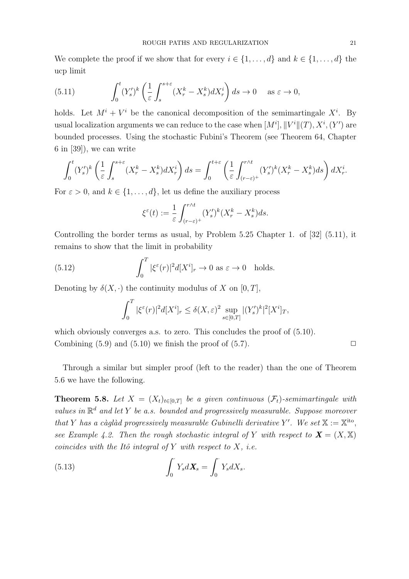We complete the proof if we show that for every  $i \in \{1, \ldots, d\}$  and  $k \in \{1, \ldots, d\}$  the ucp limit

(5.11) 
$$
\int_0^t (Y'_s)^k \left( \frac{1}{\varepsilon} \int_s^{s+\varepsilon} (X_r^k - X_s^k) dX_r^i \right) ds \to 0 \quad \text{as } \varepsilon \to 0,
$$

holds. Let  $M^{i} + V^{i}$  be the canonical decomposition of the semimartingale  $X^{i}$ . By usual localization arguments we can reduce to the case when  $[M^i], \|V^i\|(T), X^i, (Y')$  are bounded processes. Using the stochastic Fubini's Theorem (see Theorem 64, Chapter 6 in [39]), we can write

$$
\int_0^t (Y'_s)^k \left( \frac{1}{\varepsilon} \int_s^{s+\varepsilon} (X_r^k - X_s^k) dX_r^i \right) ds = \int_0^{t+\varepsilon} \left( \frac{1}{\varepsilon} \int_{(r-\varepsilon)^+}^{r \wedge t} (Y'_s)^k (X_r^k - X_s^k) ds \right) dX_r^i.
$$

For  $\varepsilon > 0$ , and  $k \in \{1, \ldots, d\}$ , let us define the auxiliary process

$$
\xi^{\varepsilon}(t) := \frac{1}{\varepsilon} \int_{(r-\varepsilon)^{+}}^{r\wedge t} (Y_s')^k (X_r^k - X_s^k) ds.
$$

Controlling the border terms as usual, by Problem  $5.25$  Chapter 1. of  $[32]$   $(5.11)$ , it remains to show that the limit in probability

(5.12) 
$$
\int_0^T |\xi^{\varepsilon}(r)|^2 d[X^i]_r \to 0 \text{ as } \varepsilon \to 0 \text{ holds.}
$$

Denoting by  $\delta(X, \cdot)$  the continuity modulus of X on [0, T],

$$
\int_0^T |\xi^{\varepsilon}(r)|^2 d[X^i]_r \le \delta(X, \varepsilon)^2 \sup_{s \in [0, T]} |(Y'_s)^k|^2 [X^i]_T,
$$

which obviously converges a.s. to zero. This concludes the proof of  $(5.10)$ . Combining  $(5.9)$  and  $(5.10)$  we finish the proof of  $(5.7)$ .

Through a similar but simpler proof (left to the reader) than the one of Theorem 5.6 we have the following.

**Theorem 5.8.** Let  $X = (X_t)_{t \in [0,T]}$  be a given continuous  $(\mathcal{F}_t)$ -semimartingale with values in  $\mathbb{R}^d$  and let Y be a.s. bounded and progressively measurable. Suppose moreover that Y has a càglàd progressively measurable Gubinelli derivative Y'. We set  $X := X^{i\omega}$ , see Example 4.2. Then the rough stochastic integral of Y with respect to  $\mathbf{X} = (X, \mathbb{X})$ coincides with the Itô integral of Y with respect to  $X$ , i.e.

(5.13) 
$$
\int_0^{\cdot} Y_s d\mathbf{X}_s = \int_0^{\cdot} Y_s dX_s.
$$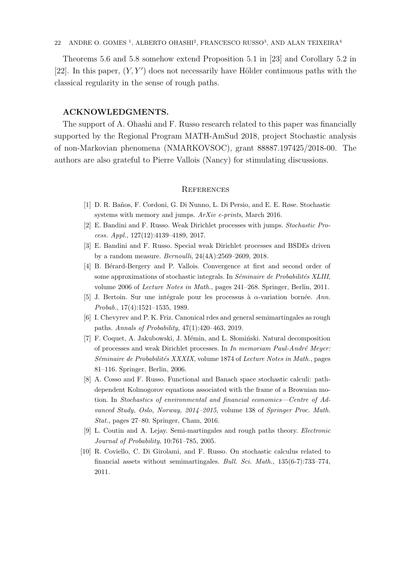Theorems 5.6 and 5.8 somehow extend Proposition 5.1 in [23] and Corollary 5.2 in [22]. In this paper,  $(Y, Y')$  does not necessarily have Hölder continuous paths with the classical regularity in the sense of rough paths.

# ACKNOWLEDGMENTS.

The support of A. Ohashi and F. Russo research related to this paper was financially supported by the Regional Program MATH-AmSud 2018, project Stochastic analysis of non-Markovian phenomena (NMARKOVSOC), grant 88887.197425/2018-00. The authors are also grateful to Pierre Vallois (Nancy) for stimulating discussions.

### **REFERENCES**

- [1] D. R. Ba˜nos, F. Cordoni, G. Di Nunno, L. Di Persio, and E. E. Røse. Stochastic systems with memory and jumps. ArXiv e-prints, March 2016.
- [2] E. Bandini and F. Russo. Weak Dirichlet processes with jumps. Stochastic Process. Appl., 127(12):4139–4189, 2017.
- [3] E. Bandini and F. Russo. Special weak Dirichlet processes and BSDEs driven by a random measure. Bernoulli, 24(4A):2569–2609, 2018.
- [4] B. Bérard-Bergery and P. Vallois. Convergence at first and second order of some approximations of stochastic integrals. In  $Séminaire de Probabilités XLIII$ , volume 2006 of Lecture Notes in Math., pages 241–268. Springer, Berlin, 2011.
- [5] J. Bertoin. Sur une intégrale pour les processus à  $\alpha$ -variation bornée. Ann. Probab., 17(4):1521–1535, 1989.
- [6] I. Chevyrev and P. K. Friz. Canonical rdes and general semimartingales as rough paths. Annals of Probability, 47(1):420–463, 2019.
- [7] F. Coquet, A. Jakubowski, J. Mémin, and L. Słomiński. Natural decomposition of processes and weak Dirichlet processes. In  $In$  memoriam  $Paul-Andr\acute{e}$  Meyer: Séminaire de Probabilités XXXIX, volume 1874 of Lecture Notes in Math., pages 81–116. Springer, Berlin, 2006.
- [8] A. Cosso and F. Russo. Functional and Banach space stochastic calculi: pathdependent Kolmogorov equations associated with the frame of a Brownian motion. In Stochastics of environmental and financial economics—Centre of Advanced Study, Oslo, Norway, 2014–2015, volume 138 of Springer Proc. Math. Stat., pages 27–80. Springer, Cham, 2016.
- [9] L. Coutin and A. Lejay. Semi-martingales and rough paths theory. Electronic Journal of Probability, 10:761–785, 2005.
- [10] R. Coviello, C. Di Girolami, and F. Russo. On stochastic calculus related to financial assets without semimartingales. Bull. Sci. Math., 135(6-7):733–774, 2011.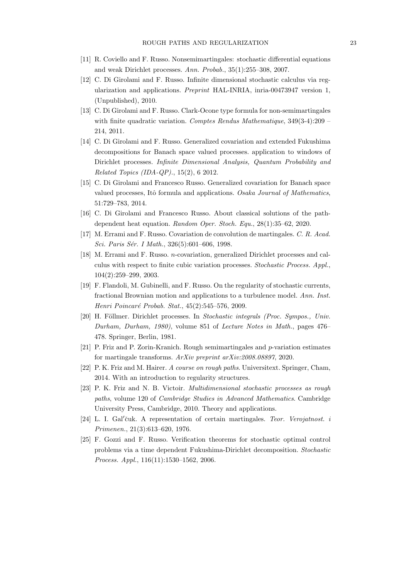- [11] R. Coviello and F. Russo. Nonsemimartingales: stochastic differential equations and weak Dirichlet processes. Ann. Probab., 35(1):255–308, 2007.
- [12] C. Di Girolami and F. Russo. Infinite dimensional stochastic calculus via regularization and applications. Preprint HAL-INRIA, inria-00473947 version 1, (Unpublished), 2010.
- [13] C. Di Girolami and F. Russo. Clark-Ocone type formula for non-semimartingales with finite quadratic variation. Comptes Rendus Mathematique, 349(3-4):209 – 214, 2011.
- [14] C. Di Girolami and F. Russo. Generalized covariation and extended Fukushima decompositions for Banach space valued processes. application to windows of Dirichlet processes. Infinite Dimensional Analysis, Quantum Probability and Related Topics (IDA-QP)., 15(2), 6 2012.
- [15] C. Di Girolami and Francesco Russo. Generalized covariation for Banach space valued processes, Itô formula and applications. Osaka Journal of Mathematics, 51:729–783, 2014.
- [16] C. Di Girolami and Francesco Russo. About classical solutions of the pathdependent heat equation. Random Oper. Stoch. Equ., 28(1):35–62, 2020.
- [17] M. Errami and F. Russo. Covariation de convolution de martingales. C. R. Acad. Sci. Paris Sér. I Math., 326(5):601-606, 1998.
- [18] M. Errami and F. Russo. n-covariation, generalized Dirichlet processes and calculus with respect to finite cubic variation processes. Stochastic Process. Appl., 104(2):259–299, 2003.
- [19] F. Flandoli, M. Gubinelli, and F. Russo. On the regularity of stochastic currents, fractional Brownian motion and applications to a turbulence model. Ann. Inst. Henri Poincaré Probab. Stat., 45(2):545–576, 2009.
- [20] H. Föllmer. Dirichlet processes. In Stochastic integrals (Proc. Sympos., Univ. Durham, Durham, 1980), volume 851 of Lecture Notes in Math., pages 476– 478. Springer, Berlin, 1981.
- [21] P. Friz and P. Zorin-Kranich. Rough semimartingales and p-variation estimates for martingale transforms. ArXiv preprint arXiv:2008.08897, 2020.
- [22] P. K. Friz and M. Hairer. A course on rough paths. Universitext. Springer, Cham, 2014. With an introduction to regularity structures.
- [23] P. K. Friz and N. B. Victoir. Multidimensional stochastic processes as rough paths, volume 120 of Cambridge Studies in Advanced Mathematics. Cambridge University Press, Cambridge, 2010. Theory and applications.
- [24] L. I. Gal'čuk. A representation of certain martingales. Teor. Verojatnost. i Primenen., 21(3):613–620, 1976.
- [25] F. Gozzi and F. Russo. Verification theorems for stochastic optimal control problems via a time dependent Fukushima-Dirichlet decomposition. Stochastic Process. Appl., 116(11):1530–1562, 2006.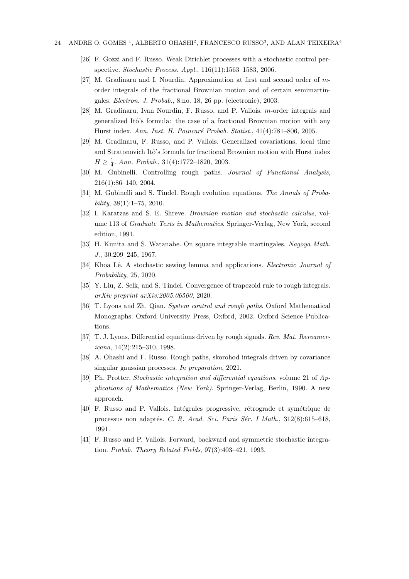- [26] F. Gozzi and F. Russo. Weak Dirichlet processes with a stochastic control perspective. Stochastic Process. Appl., 116(11):1563–1583, 2006.
- [27] M. Gradinaru and I. Nourdin. Approximation at first and second order of  $m$ order integrals of the fractional Brownian motion and of certain semimartingales. Electron. J. Probab., 8:no. 18, 26 pp. (electronic), 2003.
- [28] M. Gradinaru, Ivan Nourdin, F. Russo, and P. Vallois. m-order integrals and generalized Itô's formula: the case of a fractional Brownian motion with any Hurst index. Ann. Inst. H. Poincaré Probab. Statist., 41(4):781–806, 2005.
- [29] M. Gradinaru, F. Russo, and P. Vallois. Generalized covariations, local time and Stratonovich Itô's formula for fractional Brownian motion with Hurst index  $H \geq \frac{1}{4}$ . Ann. Probab., 31(4):1772-1820, 2003.
- [30] M. Gubinelli. Controlling rough paths. Journal of Functional Analysis, 216(1):86–140, 2004.
- [31] M. Gubinelli and S. Tindel. Rough evolution equations. The Annals of Proba $bility, 38(1):1–75, 2010.$
- [32] I. Karatzas and S. E. Shreve. Brownian motion and stochastic calculus, volume 113 of *Graduate Texts in Mathematics*. Springer-Verlag, New York, second edition, 1991.
- [33] H. Kunita and S. Watanabe. On square integrable martingales. Nagoya Math. J., 30:209–245, 1967.
- [34] Khoa Lê. A stochastic sewing lemma and applications. *Electronic Journal of* Probability, 25, 2020.
- [35] Y. Liu, Z. Selk, and S. Tindel. Convergence of trapezoid rule to rough integrals. arXiv preprint arXiv:2005.06500, 2020.
- [36] T. Lyons and Zh. Qian. System control and rough paths. Oxford Mathematical Monographs. Oxford University Press, Oxford, 2002. Oxford Science Publications.
- [37] T. J. Lyons. Differential equations driven by rough signals. Rev. Mat. Iberoamericana, 14(2):215–310, 1998.
- [38] A. Ohashi and F. Russo. Rough paths, skorohod integrals driven by covariance singular gaussian processes. In preparation, 2021.
- [39] Ph. Protter. Stochastic integration and differential equations, volume 21 of Applications of Mathematics (New York). Springer-Verlag, Berlin, 1990. A new approach.
- [40] F. Russo and P. Vallois. Intégrales progressive, rétrograde et symétrique de processus non adaptés. C. R. Acad. Sci. Paris Sér. I Math.,  $312(8):615-618$ , 1991.
- [41] F. Russo and P. Vallois. Forward, backward and symmetric stochastic integration. Probab. Theory Related Fields, 97(3):403–421, 1993.